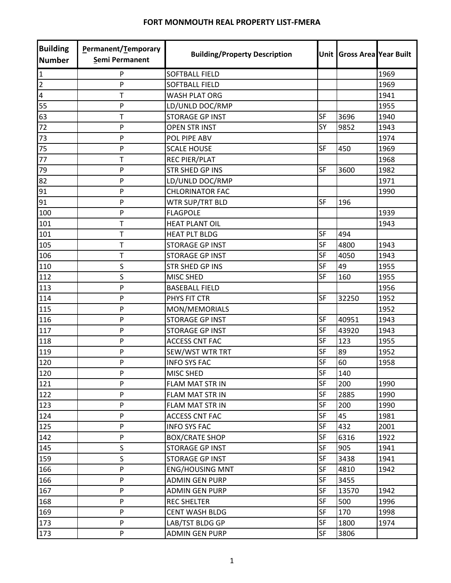| <b>Building</b><br><b>Number</b> | Permanent/Temporary<br>Semi Permanent | <b>Building/Property Description</b> |           | Unit Gross Area Year Built |      |
|----------------------------------|---------------------------------------|--------------------------------------|-----------|----------------------------|------|
| 1                                | P                                     | <b>SOFTBALL FIELD</b>                |           |                            | 1969 |
| $\overline{2}$                   | P                                     | <b>SOFTBALL FIELD</b>                |           |                            | 1969 |
| $\overline{\mathbf{4}}$          | T                                     | <b>WASH PLAT ORG</b>                 |           |                            | 1941 |
| 55                               | P                                     | LD/UNLD DOC/RMP                      |           |                            | 1955 |
| 63                               | Т                                     | <b>STORAGE GP INST</b>               | SF        | 3696                       | 1940 |
| 72                               | P                                     | <b>OPEN STR INST</b>                 | <b>SY</b> | 9852                       | 1943 |
| 73                               | P                                     | POL PIPE ABV                         |           |                            | 1974 |
| 75                               | P                                     | <b>SCALE HOUSE</b>                   | <b>SF</b> | 450                        | 1969 |
| 77                               | T                                     | <b>REC PIER/PLAT</b>                 |           |                            | 1968 |
| 79                               | P                                     | <b>STR SHED GP INS</b>               | <b>SF</b> | 3600                       | 1982 |
| 82                               | P                                     | LD/UNLD DOC/RMP                      |           |                            | 1971 |
| 91                               | P                                     | <b>CHLORINATOR FAC</b>               |           |                            | 1990 |
| 91                               | P                                     | WTR SUP/TRT BLD                      | SF        | 196                        |      |
| 100                              | P                                     | <b>FLAGPOLE</b>                      |           |                            | 1939 |
| 101                              | T                                     | <b>HEAT PLANT OIL</b>                |           |                            | 1943 |
| 101                              | $\mathsf T$                           | <b>HEAT PLT BLDG</b>                 | SF        | 494                        |      |
| 105                              | T                                     | <b>STORAGE GP INST</b>               | <b>SF</b> | 4800                       | 1943 |
| 106                              | Т                                     | <b>STORAGE GP INST</b>               | SF        | 4050                       | 1943 |
| 110                              | S                                     | <b>STR SHED GP INS</b>               | <b>SF</b> | 49                         | 1955 |
| 112                              | S                                     | MISC SHED                            | <b>SF</b> | 160                        | 1955 |
| 113                              | P                                     | <b>BASEBALL FIELD</b>                |           |                            | 1956 |
| 114                              | P                                     | PHYS FIT CTR                         | <b>SF</b> | 32250                      | 1952 |
| 115                              | P                                     | MON/MEMORIALS                        |           |                            | 1952 |
| 116                              | P                                     | <b>STORAGE GP INST</b>               | SF        | 40951                      | 1943 |
| 117                              | P                                     | <b>STORAGE GP INST</b>               | <b>SF</b> | 43920                      | 1943 |
| 118                              | P                                     | <b>ACCESS CNT FAC</b>                | SF        | 123                        | 1955 |
| 119                              | P                                     | SEW/WST WTR TRT                      | <b>SF</b> | 89                         | 1952 |
| 120                              | P                                     | <b>INFO SYS FAC</b>                  | <b>SF</b> | 60                         | 1958 |
| 120                              | P                                     | <b>MISC SHED</b>                     | SF        | 140                        |      |
| 121                              | P                                     | <b>FLAM MAT STR IN</b>               | <b>SF</b> | 200                        | 1990 |
| 122                              | P                                     | FLAM MAT STR IN                      | SF        | 2885                       | 1990 |
| 123                              | P                                     | FLAM MAT STR IN                      | <b>SF</b> | 200                        | 1990 |
| 124                              | P                                     | <b>ACCESS CNT FAC</b>                | SF        | 45                         | 1981 |
| 125                              | P                                     | <b>INFO SYS FAC</b>                  | SF        | 432                        | 2001 |
| 142                              | P                                     | <b>BOX/CRATE SHOP</b>                | SF        | 6316                       | 1922 |
| 145                              | S                                     | <b>STORAGE GP INST</b>               | SF        | 905                        | 1941 |
| 159                              | S                                     | <b>STORAGE GP INST</b>               | SF        | 3438                       | 1941 |
| 166                              | P                                     | <b>ENG/HOUSING MNT</b>               | SF        | 4810                       | 1942 |
| 166                              | P                                     | <b>ADMIN GEN PURP</b>                | SF        | 3455                       |      |
| 167                              | P                                     | <b>ADMIN GEN PURP</b>                | SF        | 13570                      | 1942 |
| 168                              | P                                     | <b>REC SHELTER</b>                   | SF        | 500                        | 1996 |
| 169                              | P                                     | <b>CENT WASH BLDG</b>                | SF        | 170                        | 1998 |
| 173                              | P                                     | LAB/TST BLDG GP                      | SF        | 1800                       | 1974 |
| 173                              | P                                     | <b>ADMIN GEN PURP</b>                | SF        | 3806                       |      |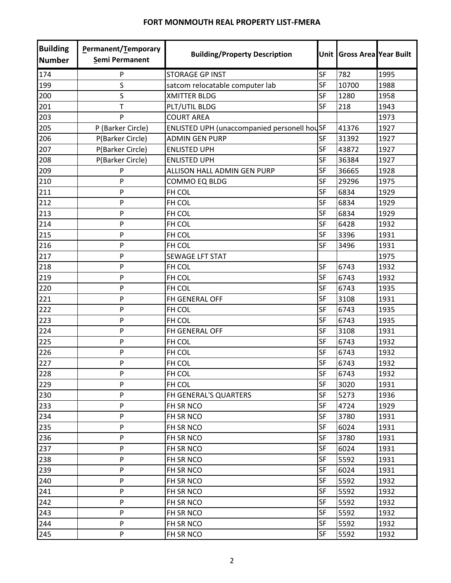| <b>Building</b><br><b>Number</b> | <b>Permanent/Temporary</b><br>Semi Permanent | <b>Building/Property Description</b>        |           | Unit Gross Area Year Built |      |
|----------------------------------|----------------------------------------------|---------------------------------------------|-----------|----------------------------|------|
| 174                              | P                                            | <b>STORAGE GP INST</b>                      | SF        | 782                        | 1995 |
| 199                              | S                                            | satcom relocatable computer lab             | SF        | 10700                      | 1988 |
| 200                              | S                                            | <b>XMITTER BLDG</b>                         | <b>SF</b> | 1280                       | 1958 |
| 201                              | T                                            | PLT/UTIL BLDG                               | <b>SF</b> | 218                        | 1943 |
| 203                              | P                                            | <b>COURT AREA</b>                           |           |                            | 1973 |
| 205                              | P (Barker Circle)                            | ENLISTED UPH (unaccompanied personell houSF |           | 41376                      | 1927 |
| 206                              | P(Barker Circle)                             | <b>ADMIN GEN PURP</b>                       | SF        | 31392                      | 1927 |
| 207                              | P(Barker Circle)                             | <b>ENLISTED UPH</b>                         | <b>SF</b> | 43872                      | 1927 |
| 208                              | P(Barker Circle)                             | <b>ENLISTED UPH</b>                         | <b>SF</b> | 36384                      | 1927 |
| 209                              | P                                            | ALLISON HALL ADMIN GEN PURP                 | <b>SF</b> | 36665                      | 1928 |
| 210                              | P                                            | COMMO EQ BLDG                               | SF        | 29296                      | 1975 |
| 211                              | P                                            | FH COL                                      | <b>SF</b> | 6834                       | 1929 |
| 212                              | P                                            | FH COL                                      | SF        | 6834                       | 1929 |
| 213                              | P                                            | FH COL                                      | SF        | 6834                       | 1929 |
| 214                              | P                                            | FH COL                                      | <b>SF</b> | 6428                       | 1932 |
| 215                              | P                                            | FH COL                                      | SF        | 3396                       | 1931 |
| 216                              | P                                            | FH COL                                      | SF        | 3496                       | 1931 |
| 217                              | P                                            | <b>SEWAGE LFT STAT</b>                      |           |                            | 1975 |
| 218                              | P                                            | FH COL                                      | SF        | 6743                       | 1932 |
| 219                              | P                                            | FH COL                                      | <b>SF</b> | 6743                       | 1932 |
| 220                              | P                                            | FH COL                                      | SF        | 6743                       | 1935 |
| 221                              | P                                            | FH GENERAL OFF                              | <b>SF</b> | 3108                       | 1931 |
| 222                              | P                                            | FH COL                                      | <b>SF</b> | 6743                       | 1935 |
| 223                              | P                                            | FH COL                                      | <b>SF</b> | 6743                       | 1935 |
| 224                              | P                                            | FH GENERAL OFF                              | <b>SF</b> | 3108                       | 1931 |
| 225                              | P                                            | FH COL                                      | SF        | 6743                       | 1932 |
| 226                              | P                                            | FH COL                                      | SF        | 6743                       | 1932 |
| 227                              | P                                            | FH COL                                      | <b>SF</b> | 6743                       | 1932 |
| 228                              | P                                            | <b>FH COL</b>                               | <b>SF</b> | 6743                       | 1932 |
| 229                              | P                                            | FH COL                                      | SF        | 3020                       | 1931 |
| 230                              | P                                            | FH GENERAL'S QUARTERS                       | SF        | 5273                       | 1936 |
| 233                              | P                                            | FH SR NCO                                   | <b>SF</b> | 4724                       | 1929 |
| 234                              | P                                            | FH SR NCO                                   | SF        | 3780                       | 1931 |
| 235                              | P                                            | FH SR NCO                                   | <b>SF</b> | 6024                       | 1931 |
| 236                              | P                                            | FH SR NCO                                   | SF        | 3780                       | 1931 |
| 237                              | P                                            | FH SR NCO                                   | <b>SF</b> | 6024                       | 1931 |
| 238                              | P                                            | FH SR NCO                                   | SF        | 5592                       | 1931 |
| 239                              | P                                            | FH SR NCO                                   | SF        | 6024                       | 1931 |
| 240                              | P                                            | FH SR NCO                                   | SF        | 5592                       | 1932 |
| 241                              | P                                            | FH SR NCO                                   | SF        | 5592                       | 1932 |
| 242                              | P                                            | FH SR NCO                                   | <b>SF</b> | 5592                       | 1932 |
| 243                              | P                                            | FH SR NCO                                   | SF        | 5592                       | 1932 |
| 244                              | P                                            | FH SR NCO                                   | SF        | 5592                       | 1932 |
| 245                              | P                                            | FH SR NCO                                   | SF        | 5592                       | 1932 |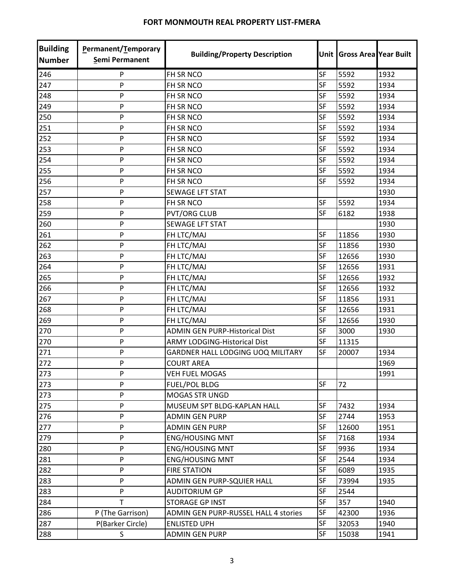| <b>Building</b><br><b>Number</b> | Permanent/Temporary<br>Semi Permanent | <b>Building/Property Description</b>        |           | Unit Gross Area Year Built |      |
|----------------------------------|---------------------------------------|---------------------------------------------|-----------|----------------------------|------|
| 246                              | P                                     | FH SR NCO                                   | SF        | 5592                       | 1932 |
| 247                              | P                                     | FH SR NCO                                   | SF        | 5592                       | 1934 |
| 248                              | P                                     | FH SR NCO                                   | SF        | 5592                       | 1934 |
| 249                              | P                                     | FH SR NCO                                   | <b>SF</b> | 5592                       | 1934 |
| 250                              | P                                     | FH SR NCO                                   | SF        | 5592                       | 1934 |
| 251                              | P                                     | FH SR NCO                                   | <b>SF</b> | 5592                       | 1934 |
| 252                              | P                                     | FH SR NCO                                   | SF        | 5592                       | 1934 |
| 253                              | P                                     | FH SR NCO                                   | SF        | 5592                       | 1934 |
| 254                              | P                                     | FH SR NCO                                   | <b>SF</b> | 5592                       | 1934 |
| 255                              | P                                     | FH SR NCO                                   | <b>SF</b> | 5592                       | 1934 |
| 256                              | P                                     | FH SR NCO                                   | SF        | 5592                       | 1934 |
| 257                              | P                                     | <b>SEWAGE LFT STAT</b>                      |           |                            | 1930 |
| 258                              | P                                     | FH SR NCO                                   | <b>SF</b> | 5592                       | 1934 |
| 259                              | P                                     | <b>PVT/ORG CLUB</b>                         | SF        | 6182                       | 1938 |
| 260                              | P                                     | <b>SEWAGE LFT STAT</b>                      |           |                            | 1930 |
| 261                              | P                                     | FH LTC/MAJ                                  | SF        | 11856                      | 1930 |
| 262                              | P                                     | FH LTC/MAJ                                  | <b>SF</b> | 11856                      | 1930 |
| 263                              | P                                     | FH LTC/MAJ                                  | <b>SF</b> | 12656                      | 1930 |
| 264                              | P                                     | FH LTC/MAJ                                  | SF        | 12656                      | 1931 |
| 265                              | P                                     | FH LTC/MAJ                                  | <b>SF</b> | 12656                      | 1932 |
| 266                              | P                                     | FH LTC/MAJ                                  | SF        | 12656                      | 1932 |
| 267                              | P                                     | FH LTC/MAJ                                  | <b>SF</b> | 11856                      | 1931 |
| 268                              | P                                     | FH LTC/MAJ                                  | <b>SF</b> | 12656                      | 1931 |
| 269                              | P                                     | FH LTC/MAJ                                  | SF        | 12656                      | 1930 |
| 270                              | P                                     | <b>ADMIN GEN PURP-Historical Dist</b>       | SF        | 3000                       | 1930 |
| 270                              | P                                     | <b>ARMY LODGING-Historical Dist</b>         | SF        | 11315                      |      |
| 271                              | P                                     | GARDNER HALL LODGING UOQ MILITARY           | SF        | 20007                      | 1934 |
| 272                              | P                                     | <b>COURT AREA</b>                           |           |                            | 1969 |
| 273                              | P                                     | <b>VEH FUEL MOGAS</b>                       |           |                            | 1991 |
| 273                              | P                                     | <b>FUEL/POL BLDG</b>                        | <b>SF</b> | 72                         |      |
| 273                              | P                                     | <b>MOGAS STR UNGD</b>                       |           |                            |      |
| 275                              | P                                     | MUSEUM SPT BLDG-KAPLAN HALL                 | SF        | 7432                       | 1934 |
| 276                              | P                                     | <b>ADMIN GEN PURP</b>                       | <b>SF</b> | 2744                       | 1953 |
| 277                              | P                                     | <b>ADMIN GEN PURP</b>                       | <b>SF</b> | 12600                      | 1951 |
| 279                              | P                                     | <b>ENG/HOUSING MNT</b>                      | SF        | 7168                       | 1934 |
| 280                              | P                                     | <b>ENG/HOUSING MNT</b>                      | SF        | 9936                       | 1934 |
| 281                              | P                                     | <b>ENG/HOUSING MNT</b>                      | <b>SF</b> | 2544                       | 1934 |
| 282                              | P                                     | <b>FIRE STATION</b>                         | <b>SF</b> | 6089                       | 1935 |
| 283                              | P                                     | ADMIN GEN PURP-SQUIER HALL                  | SF        | 73994                      | 1935 |
| 283                              | P                                     | <b>AUDITORIUM GP</b>                        | SF        | 2544                       |      |
| 284                              | T                                     | STORAGE GP INST                             | SF        | 357                        | 1940 |
| 286                              | P (The Garrison)                      | <b>ADMIN GEN PURP-RUSSEL HALL 4 stories</b> | SF        | 42300                      | 1936 |
| 287                              | P(Barker Circle)                      | <b>ENLISTED UPH</b>                         | <b>SF</b> | 32053                      | 1940 |
| 288                              | S                                     | <b>ADMIN GEN PURP</b>                       | SF        | 15038                      | 1941 |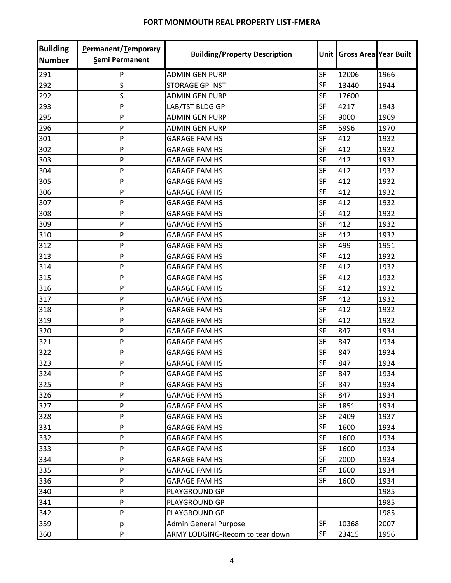| <b>Building</b><br><b>Number</b> | Permanent/Temporary<br>Semi Permanent | <b>Building/Property Description</b> |           | Unit Gross Area Year Built |      |
|----------------------------------|---------------------------------------|--------------------------------------|-----------|----------------------------|------|
| 291                              | P                                     | <b>ADMIN GEN PURP</b>                | <b>SF</b> | 12006                      | 1966 |
| 292                              | S                                     | <b>STORAGE GP INST</b>               | <b>SF</b> | 13440                      | 1944 |
| 292                              | S                                     | <b>ADMIN GEN PURP</b>                | <b>SF</b> | 17600                      |      |
| 293                              | P                                     | LAB/TST BLDG GP                      | <b>SF</b> | 4217                       | 1943 |
| 295                              | P                                     | <b>ADMIN GEN PURP</b>                | <b>SF</b> | 9000                       | 1969 |
| 296                              | P                                     | <b>ADMIN GEN PURP</b>                | <b>SF</b> | 5996                       | 1970 |
| 301                              | P                                     | <b>GARAGE FAM HS</b>                 | <b>SF</b> | 412                        | 1932 |
| 302                              | P                                     | <b>GARAGE FAM HS</b>                 | SF        | 412                        | 1932 |
| 303                              | P                                     | <b>GARAGE FAM HS</b>                 | <b>SF</b> | 412                        | 1932 |
| 304                              | P                                     | <b>GARAGE FAM HS</b>                 | <b>SF</b> | 412                        | 1932 |
| 305                              | P                                     | <b>GARAGE FAM HS</b>                 | <b>SF</b> | 412                        | 1932 |
| 306                              | P                                     | <b>GARAGE FAM HS</b>                 | <b>SF</b> | 412                        | 1932 |
| 307                              | P                                     | <b>GARAGE FAM HS</b>                 | <b>SF</b> | 412                        | 1932 |
| 308                              | P                                     | <b>GARAGE FAM HS</b>                 | SF        | 412                        | 1932 |
| 309                              | P                                     | <b>GARAGE FAM HS</b>                 | <b>SF</b> | 412                        | 1932 |
| 310                              | P                                     | <b>GARAGE FAM HS</b>                 | <b>SF</b> | 412                        | 1932 |
| 312                              | P                                     | <b>GARAGE FAM HS</b>                 | <b>SF</b> | 499                        | 1951 |
| 313                              | P                                     | <b>GARAGE FAM HS</b>                 | SF        | 412                        | 1932 |
| 314                              | P                                     | <b>GARAGE FAM HS</b>                 | SF        | 412                        | 1932 |
| 315                              | P                                     | <b>GARAGE FAM HS</b>                 | <b>SF</b> | 412                        | 1932 |
| 316                              | P                                     | <b>GARAGE FAM HS</b>                 | <b>SF</b> | 412                        | 1932 |
| 317                              | P                                     | <b>GARAGE FAM HS</b>                 | SF        | 412                        | 1932 |
| 318                              | P                                     | <b>GARAGE FAM HS</b>                 | <b>SF</b> | 412                        | 1932 |
| 319                              | P                                     | <b>GARAGE FAM HS</b>                 | <b>SF</b> | 412                        | 1932 |
| 320                              | P                                     | <b>GARAGE FAM HS</b>                 | <b>SF</b> | 847                        | 1934 |
| 321                              | P                                     | <b>GARAGE FAM HS</b>                 | <b>SF</b> | 847                        | 1934 |
| 322                              | P                                     | <b>GARAGE FAM HS</b>                 | <b>SF</b> | 847                        | 1934 |
| 323                              | P                                     | <b>GARAGE FAM HS</b>                 | <b>SF</b> | 847                        | 1934 |
| 324                              | P                                     | <b>GARAGE FAM HS</b>                 | SF        | 847                        | 1934 |
| 325                              | P                                     | <b>GARAGE FAM HS</b>                 | <b>SF</b> | 847                        | 1934 |
| 326                              | P                                     | <b>GARAGE FAM HS</b>                 | SF        | 847                        | 1934 |
| 327                              | P                                     | <b>GARAGE FAM HS</b>                 | SF        | 1851                       | 1934 |
| 328                              | P                                     | <b>GARAGE FAM HS</b>                 | <b>SF</b> | 2409                       | 1937 |
| 331                              | P                                     | <b>GARAGE FAM HS</b>                 | <b>SF</b> | 1600                       | 1934 |
| 332                              | P                                     | <b>GARAGE FAM HS</b>                 | <b>SF</b> | 1600                       | 1934 |
| 333                              | P                                     | <b>GARAGE FAM HS</b>                 | <b>SF</b> | 1600                       | 1934 |
| 334                              | P                                     | <b>GARAGE FAM HS</b>                 | SF        | 2000                       | 1934 |
| 335                              | P                                     | <b>GARAGE FAM HS</b>                 | SF        | 1600                       | 1934 |
| 336                              | P                                     | <b>GARAGE FAM HS</b>                 | SF        | 1600                       | 1934 |
| 340                              | P                                     | PLAYGROUND GP                        |           |                            | 1985 |
| 341                              | P                                     | PLAYGROUND GP                        |           |                            | 1985 |
| 342                              | P                                     | PLAYGROUND GP                        |           |                            | 1985 |
| 359                              | р                                     | <b>Admin General Purpose</b>         | <b>SF</b> | 10368                      | 2007 |
| 360                              | P                                     | ARMY LODGING-Recom to tear down      | SF        | 23415                      | 1956 |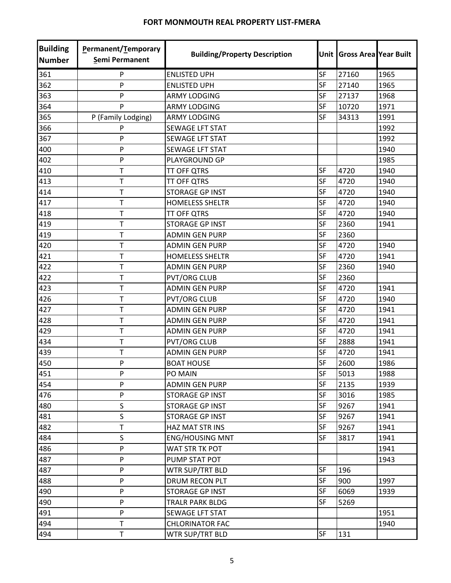| <b>Building</b><br><b>Number</b> | Permanent/Temporary<br>Semi Permanent | <b>Building/Property Description</b> | Unit      | <b>Gross Area Year Built</b> |      |
|----------------------------------|---------------------------------------|--------------------------------------|-----------|------------------------------|------|
| 361                              | P                                     | <b>ENLISTED UPH</b>                  | SF        | 27160                        | 1965 |
| 362                              | P                                     | <b>ENLISTED UPH</b>                  | SF        | 27140                        | 1965 |
| 363                              | P                                     | <b>ARMY LODGING</b>                  | <b>SF</b> | 27137                        | 1968 |
| 364                              | P                                     | <b>ARMY LODGING</b>                  | SF        | 10720                        | 1971 |
| 365                              | P (Family Lodging)                    | <b>ARMY LODGING</b>                  | <b>SF</b> | 34313                        | 1991 |
| 366                              | P                                     | <b>SEWAGE LFT STAT</b>               |           |                              | 1992 |
| 367                              | P                                     | <b>SEWAGE LFT STAT</b>               |           |                              | 1992 |
| 400                              | P                                     | <b>SEWAGE LFT STAT</b>               |           |                              | 1940 |
| 402                              | P                                     | PLAYGROUND GP                        |           |                              | 1985 |
| 410                              | T                                     | <b>TT OFF QTRS</b>                   | <b>SF</b> | 4720                         | 1940 |
| 413                              | Τ                                     | <b>TT OFF QTRS</b>                   | <b>SF</b> | 4720                         | 1940 |
| 414                              | T                                     | <b>STORAGE GP INST</b>               | SF        | 4720                         | 1940 |
| 417                              | $\mathsf T$                           | <b>HOMELESS SHELTR</b>               | <b>SF</b> | 4720                         | 1940 |
| 418                              | T                                     | <b>TT OFF QTRS</b>                   | SF        | 4720                         | 1940 |
| 419                              | T                                     | <b>STORAGE GP INST</b>               | SF        | 2360                         | 1941 |
| 419                              | $\mathsf T$                           | <b>ADMIN GEN PURP</b>                | <b>SF</b> | 2360                         |      |
| 420                              | $\mathsf T$                           | <b>ADMIN GEN PURP</b>                | <b>SF</b> | 4720                         | 1940 |
| 421                              | T                                     | <b>HOMELESS SHELTR</b>               | <b>SF</b> | 4720                         | 1941 |
| 422                              | T                                     | <b>ADMIN GEN PURP</b>                | SF        | 2360                         | 1940 |
| 422                              | Т                                     | <b>PVT/ORG CLUB</b>                  | SF        | 2360                         |      |
| 423                              | T                                     | <b>ADMIN GEN PURP</b>                | SF        | 4720                         | 1941 |
| 426                              | T                                     | <b>PVT/ORG CLUB</b>                  | <b>SF</b> | 4720                         | 1940 |
| 427                              | T                                     | <b>ADMIN GEN PURP</b>                | <b>SF</b> | 4720                         | 1941 |
| 428                              | T                                     | <b>ADMIN GEN PURP</b>                | <b>SF</b> | 4720                         | 1941 |
| 429                              | $\mathsf T$                           | <b>ADMIN GEN PURP</b>                | SF        | 4720                         | 1941 |
| 434                              | T                                     | <b>PVT/ORG CLUB</b>                  | SF        | 2888                         | 1941 |
| 439                              | T                                     | <b>ADMIN GEN PURP</b>                | <b>SF</b> | 4720                         | 1941 |
| 450                              | P                                     | <b>BOAT HOUSE</b>                    | SF        | 2600                         | 1986 |
| 451                              | P                                     | PO MAIN                              | <b>SF</b> | 5013                         | 1988 |
| 454                              | P                                     | <b>ADMIN GEN PURP</b>                | <b>SF</b> | 2135                         | 1939 |
| 476                              | P                                     | <b>STORAGE GP INST</b>               | SF        | 3016                         | 1985 |
| 480                              | S                                     | <b>STORAGE GP INST</b>               | SF        | 9267                         | 1941 |
| 481                              | S                                     | STORAGE GP INST                      | SF        | 9267                         | 1941 |
| 482                              | T                                     | HAZ MAT STR INS                      | SF        | 9267                         | 1941 |
| 484                              | S                                     | <b>ENG/HOUSING MNT</b>               | SF        | 3817                         | 1941 |
| 486                              | P                                     | WAT STR TK POT                       |           |                              | 1941 |
| 487                              | P                                     | PUMP STAT POT                        |           |                              | 1943 |
| 487                              | P                                     | WTR SUP/TRT BLD                      | <b>SF</b> | 196                          |      |
| 488                              | P                                     | DRUM RECON PLT                       | SF        | 900                          | 1997 |
| 490                              | P                                     | <b>STORAGE GP INST</b>               | SF        | 6069                         | 1939 |
| 490                              | P                                     | <b>TRALR PARK BLDG</b>               | <b>SF</b> | 5269                         |      |
| 491                              | P                                     | SEWAGE LFT STAT                      |           |                              | 1951 |
| 494                              | T                                     | <b>CHLORINATOR FAC</b>               |           |                              | 1940 |
| 494                              | $\mathsf T$                           | WTR SUP/TRT BLD                      | SF        | 131                          |      |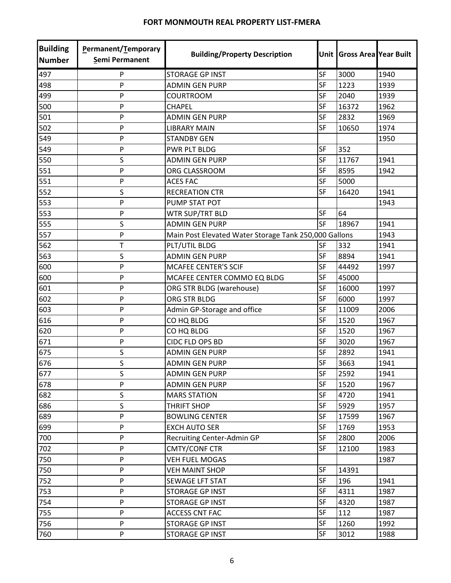| <b>Building</b><br><b>Number</b> | Permanent/Temporary<br>Semi Permanent | <b>Building/Property Description</b>                  | Unit I    | <b>Gross Area Year Built</b> |      |
|----------------------------------|---------------------------------------|-------------------------------------------------------|-----------|------------------------------|------|
| 497                              | P                                     | <b>STORAGE GP INST</b>                                | <b>SF</b> | 3000                         | 1940 |
| 498                              | P                                     | <b>ADMIN GEN PURP</b>                                 | SF        | 1223                         | 1939 |
| 499                              | P                                     | <b>COURTROOM</b>                                      | <b>SF</b> | 2040                         | 1939 |
| 500                              | P                                     | <b>CHAPEL</b>                                         | <b>SF</b> | 16372                        | 1962 |
| 501                              | P                                     | <b>ADMIN GEN PURP</b>                                 | <b>SF</b> | 2832                         | 1969 |
| 502                              | P                                     | <b>LIBRARY MAIN</b>                                   | <b>SF</b> | 10650                        | 1974 |
| 549                              | P                                     | <b>STANDBY GEN</b>                                    |           |                              | 1950 |
| 549                              | P                                     | PWR PLT BLDG                                          | SF        | 352                          |      |
| 550                              | S                                     | <b>ADMIN GEN PURP</b>                                 | SF        | 11767                        | 1941 |
| 551                              | P                                     | ORG CLASSROOM                                         | <b>SF</b> | 8595                         | 1942 |
| 551                              | P                                     | <b>ACES FAC</b>                                       | <b>SF</b> | 5000                         |      |
| 552                              | S                                     | <b>RECREATION CTR</b>                                 | <b>SF</b> | 16420                        | 1941 |
| 553                              | P                                     | PUMP STAT POT                                         |           |                              | 1943 |
| 553                              | P                                     | WTR SUP/TRT BLD                                       | SF        | 64                           |      |
| 555                              | S                                     | <b>ADMIN GEN PURP</b>                                 | <b>SF</b> | 18967                        | 1941 |
| 557                              | P                                     | Main Post Elevated Water Storage Tank 250,000 Gallons |           |                              | 1943 |
| 562                              | T                                     | PLT/UTIL BLDG                                         | SF        | 332                          | 1941 |
| 563                              | S                                     | <b>ADMIN GEN PURP</b>                                 | <b>SF</b> | 8894                         | 1941 |
| 600                              | P                                     | <b>MCAFEE CENTER'S SCIF</b>                           | <b>SF</b> | 44492                        | 1997 |
| 600                              | P                                     | MCAFEE CENTER COMMO EQ BLDG                           | SF        | 45000                        |      |
| 601                              | P                                     | ORG STR BLDG (warehouse)                              | SF        | 16000                        | 1997 |
| 602                              | P                                     | ORG STR BLDG                                          | <b>SF</b> | 6000                         | 1997 |
| 603                              | P                                     | Admin GP-Storage and office                           | SF        | 11009                        | 2006 |
| 616                              | P                                     | CO HQ BLDG                                            | <b>SF</b> | 1520                         | 1967 |
| 620                              | P                                     | CO HQ BLDG                                            | <b>SF</b> | 1520                         | 1967 |
| 671                              | P                                     | CIDC FLD OPS BD                                       | SF        | 3020                         | 1967 |
| 675                              | S                                     | <b>ADMIN GEN PURP</b>                                 | SF        | 2892                         | 1941 |
| 676                              | $\mathsf S$                           | <b>ADMIN GEN PURP</b>                                 | SF        | 3663                         | 1941 |
| 677                              | S                                     | <b>ADMIN GEN PURP</b>                                 | SF        | 2592                         | 1941 |
| 678                              | P                                     | <b>ADMIN GEN PURP</b>                                 | SF        | 1520                         | 1967 |
| 682                              | S                                     | <b>MARS STATION</b>                                   | SF        | 4720                         | 1941 |
| 686                              | S                                     | <b>THRIFT SHOP</b>                                    | SF        | 5929                         | 1957 |
| 689                              | P                                     | <b>BOWLING CENTER</b>                                 | SF        | 17599                        | 1967 |
| 699                              | P                                     | <b>EXCH AUTO SER</b>                                  | SF        | 1769                         | 1953 |
| 700                              | P                                     | Recruiting Center-Admin GP                            | SF        | 2800                         | 2006 |
| 702                              | P                                     | <b>CMTY/CONF CTR</b>                                  | <b>SF</b> | 12100                        | 1983 |
| 750                              | P                                     | <b>VEH FUEL MOGAS</b>                                 |           |                              | 1987 |
| 750                              | P                                     | <b>VEH MAINT SHOP</b>                                 | SF        | 14391                        |      |
| 752                              | P                                     | <b>SEWAGE LFT STAT</b>                                | SF        | 196                          | 1941 |
| 753                              | P                                     | <b>STORAGE GP INST</b>                                | SF        | 4311                         | 1987 |
| 754                              | P                                     | STORAGE GP INST                                       | <b>SF</b> | 4320                         | 1987 |
| 755                              | P                                     | <b>ACCESS CNT FAC</b>                                 | SF        | 112                          | 1987 |
| 756                              | P                                     | STORAGE GP INST                                       | SF        | 1260                         | 1992 |
| 760                              | P                                     | STORAGE GP INST                                       | SF        | 3012                         | 1988 |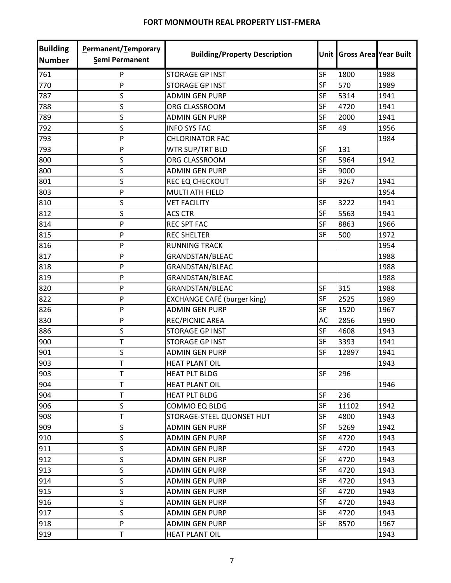| <b>Building</b><br><b>Number</b> | Permanent/Temporary<br>Semi Permanent | <b>Building/Property Description</b> | Unit      | <b>Gross Area Year Built</b> |      |
|----------------------------------|---------------------------------------|--------------------------------------|-----------|------------------------------|------|
| 761                              | P                                     | <b>STORAGE GP INST</b>               | SF        | 1800                         | 1988 |
| 770                              | P                                     | <b>STORAGE GP INST</b>               | <b>SF</b> | 570                          | 1989 |
| 787                              | S                                     | <b>ADMIN GEN PURP</b>                | <b>SF</b> | 5314                         | 1941 |
| 788                              | S                                     | ORG CLASSROOM                        | <b>SF</b> | 4720                         | 1941 |
| 789                              | S                                     | <b>ADMIN GEN PURP</b>                | <b>SF</b> | 2000                         | 1941 |
| 792                              | S                                     | <b>INFO SYS FAC</b>                  | SF        | 49                           | 1956 |
| 793                              | P                                     | <b>CHLORINATOR FAC</b>               |           |                              | 1984 |
| 793                              | P                                     | WTR SUP/TRT BLD                      | <b>SF</b> | 131                          |      |
| 800                              | S                                     | ORG CLASSROOM                        | SF        | 5964                         | 1942 |
| 800                              | S                                     | <b>ADMIN GEN PURP</b>                | <b>SF</b> | 9000                         |      |
| 801                              | $\mathsf S$                           | REC EQ CHECKOUT                      | <b>SF</b> | 9267                         | 1941 |
| 803                              | P                                     | <b>MULTI ATH FIELD</b>               |           |                              | 1954 |
| 810                              | S                                     | <b>VET FACILITY</b>                  | SF        | 3222                         | 1941 |
| 812                              | S                                     | <b>ACS CTR</b>                       | SF        | 5563                         | 1941 |
| 814                              | P                                     | <b>REC SPT FAC</b>                   | SF        | 8863                         | 1966 |
| 815                              | P                                     | <b>REC SHELTER</b>                   | <b>SF</b> | 500                          | 1972 |
| 816                              | P                                     | <b>RUNNING TRACK</b>                 |           |                              | 1954 |
| 817                              | P                                     | <b>GRANDSTAN/BLEAC</b>               |           |                              | 1988 |
| 818                              | P                                     | <b>GRANDSTAN/BLEAC</b>               |           |                              | 1988 |
| 819                              | P                                     | <b>GRANDSTAN/BLEAC</b>               |           |                              | 1988 |
| 820                              | P                                     | <b>GRANDSTAN/BLEAC</b>               | SF        | 315                          | 1988 |
| 822                              | P                                     | <b>EXCHANGE CAFÉ (burger king)</b>   | <b>SF</b> | 2525                         | 1989 |
| 826                              | P                                     | <b>ADMIN GEN PURP</b>                | <b>SF</b> | 1520                         | 1967 |
| 830                              | P                                     | REC/PICNIC AREA                      | AC        | 2856                         | 1990 |
| 886                              | S                                     | <b>STORAGE GP INST</b>               | SF        | 4608                         | 1943 |
| 900                              | T                                     | <b>STORAGE GP INST</b>               | SF        | 3393                         | 1941 |
| 901                              | S                                     | <b>ADMIN GEN PURP</b>                | <b>SF</b> | 12897                        | 1941 |
| 903                              | T                                     | <b>HEAT PLANT OIL</b>                |           |                              | 1943 |
| 903                              | T.                                    | <b>HEAT PLT BLDG</b>                 | <b>SF</b> | 296                          |      |
| 904                              | T                                     | <b>HEAT PLANT OIL</b>                |           |                              | 1946 |
| 904                              | T                                     | <b>HEAT PLT BLDG</b>                 | SF        | 236                          |      |
| 906                              | S                                     | COMMO EQ BLDG                        | <b>SF</b> | 11102                        | 1942 |
| 908                              | T                                     | STORAGE-STEEL QUONSET HUT            | SF        | 4800                         | 1943 |
| 909                              | S                                     | <b>ADMIN GEN PURP</b>                | <b>SF</b> | 5269                         | 1942 |
| 910                              | S                                     | <b>ADMIN GEN PURP</b>                | SF        | 4720                         | 1943 |
| 911                              | S                                     | <b>ADMIN GEN PURP</b>                | <b>SF</b> | 4720                         | 1943 |
| 912                              | S                                     | <b>ADMIN GEN PURP</b>                | SF        | 4720                         | 1943 |
| 913                              | S                                     | <b>ADMIN GEN PURP</b>                | <b>SF</b> | 4720                         | 1943 |
| 914                              | S                                     | <b>ADMIN GEN PURP</b>                | <b>SF</b> | 4720                         | 1943 |
| 915                              | S                                     | <b>ADMIN GEN PURP</b>                | SF        | 4720                         | 1943 |
| 916                              | S                                     | <b>ADMIN GEN PURP</b>                | <b>SF</b> | 4720                         | 1943 |
| 917                              | S                                     | <b>ADMIN GEN PURP</b>                | SF        | 4720                         | 1943 |
| 918                              | P                                     | <b>ADMIN GEN PURP</b>                | SF        | 8570                         | 1967 |
| 919                              | T                                     | <b>HEAT PLANT OIL</b>                |           |                              | 1943 |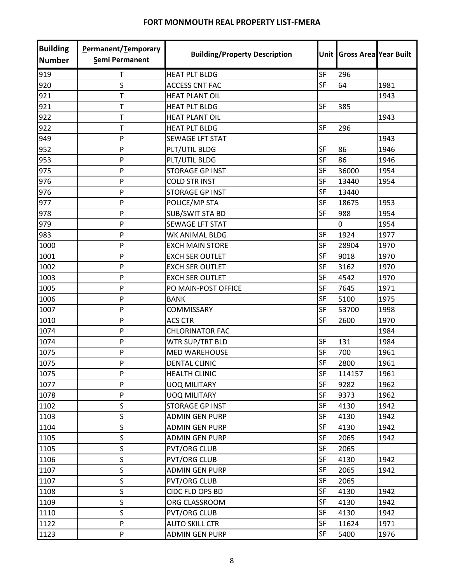| <b>Building</b><br><b>Number</b> | Permanent/Temporary<br>Semi Permanent | <b>Building/Property Description</b> |           | Unit Gross Area Year Built |      |
|----------------------------------|---------------------------------------|--------------------------------------|-----------|----------------------------|------|
| 919                              | Τ                                     | <b>HEAT PLT BLDG</b>                 | SF        | 296                        |      |
| 920                              | S                                     | <b>ACCESS CNT FAC</b>                | <b>SF</b> | 64                         | 1981 |
| 921                              | T                                     | <b>HEAT PLANT OIL</b>                |           |                            | 1943 |
| 921                              | T                                     | <b>HEAT PLT BLDG</b>                 | SF        | 385                        |      |
| 922                              | T                                     | <b>HEAT PLANT OIL</b>                |           |                            | 1943 |
| 922                              | $\mathsf T$                           | <b>HEAT PLT BLDG</b>                 | <b>SF</b> | 296                        |      |
| 949                              | P                                     | <b>SEWAGE LFT STAT</b>               |           |                            | 1943 |
| 952                              | P                                     | PLT/UTIL BLDG                        | <b>SF</b> | 86                         | 1946 |
| 953                              | P                                     | PLT/UTIL BLDG                        | SF        | 86                         | 1946 |
| 975                              | P                                     | <b>STORAGE GP INST</b>               | <b>SF</b> | 36000                      | 1954 |
| 976                              | P                                     | <b>COLD STR INST</b>                 | SF        | 13440                      | 1954 |
| 976                              | P                                     | <b>STORAGE GP INST</b>               | SF        | 13440                      |      |
| 977                              | P                                     | POLICE/MP STA                        | SF        | 18675                      | 1953 |
| 978                              | P                                     | <b>SUB/SWIT STA BD</b>               | SF        | 988                        | 1954 |
| 979                              | P                                     | <b>SEWAGE LFT STAT</b>               |           | 0                          | 1954 |
| 983                              | P                                     | WK ANIMAL BLDG                       | <b>SF</b> | 1924                       | 1977 |
| 1000                             | P                                     | <b>EXCH MAIN STORE</b>               | <b>SF</b> | 28904                      | 1970 |
| 1001                             | P                                     | <b>EXCH SER OUTLET</b>               | <b>SF</b> | 9018                       | 1970 |
| 1002                             | P                                     | <b>EXCH SER OUTLET</b>               | SF        | 3162                       | 1970 |
| 1003                             | P                                     | <b>EXCH SER OUTLET</b>               | <b>SF</b> | 4542                       | 1970 |
| 1005                             | P                                     | PO MAIN-POST OFFICE                  | SF        | 7645                       | 1971 |
| 1006                             | P                                     | <b>BANK</b>                          | <b>SF</b> | 5100                       | 1975 |
| 1007                             | P                                     | <b>COMMISSARY</b>                    | <b>SF</b> | 53700                      | 1998 |
| 1010                             | P                                     | <b>ACS CTR</b>                       | <b>SF</b> | 2600                       | 1970 |
| 1074                             | P                                     | <b>CHLORINATOR FAC</b>               |           |                            | 1984 |
| 1074                             | P                                     | WTR SUP/TRT BLD                      | SF        | 131                        | 1984 |
| 1075                             | P                                     | <b>MED WAREHOUSE</b>                 | SF        | 700                        | 1961 |
| 1075                             | P                                     | <b>DENTAL CLINIC</b>                 | SF        | 2800                       | 1961 |
| 1075                             | P                                     | <b>HEALTH CLINIC</b>                 | <b>SF</b> | 114157                     | 1961 |
| 1077                             | P                                     | <b>UOQ MILITARY</b>                  | SF        | 9282                       | 1962 |
| 1078                             | P                                     | <b>UOQ MILITARY</b>                  | SF        | 9373                       | 1962 |
| 1102                             | S                                     | <b>STORAGE GP INST</b>               | SF        | 4130                       | 1942 |
| 1103                             | S                                     | <b>ADMIN GEN PURP</b>                | SF        | 4130                       | 1942 |
| 1104                             | $\mathsf S$                           | <b>ADMIN GEN PURP</b>                | SF        | 4130                       | 1942 |
| 1105                             | $\sf S$                               | <b>ADMIN GEN PURP</b>                | SF        | 2065                       | 1942 |
| 1105                             | $\mathsf S$                           | <b>PVT/ORG CLUB</b>                  | <b>SF</b> | 2065                       |      |
| 1106                             | S                                     | <b>PVT/ORG CLUB</b>                  | SF        | 4130                       | 1942 |
| 1107                             | S                                     | <b>ADMIN GEN PURP</b>                | SF        | 2065                       | 1942 |
| 1107                             | S                                     | <b>PVT/ORG CLUB</b>                  | SF        | 2065                       |      |
| 1108                             | S                                     | CIDC FLD OPS BD                      | <b>SF</b> | 4130                       | 1942 |
| 1109                             | S                                     | ORG CLASSROOM                        | <b>SF</b> | 4130                       | 1942 |
| 1110                             | S                                     | <b>PVT/ORG CLUB</b>                  | SF        | 4130                       | 1942 |
| 1122                             | P                                     | <b>AUTO SKILL CTR</b>                | SF        | 11624                      | 1971 |
| 1123                             | P                                     | <b>ADMIN GEN PURP</b>                | SF        | 5400                       | 1976 |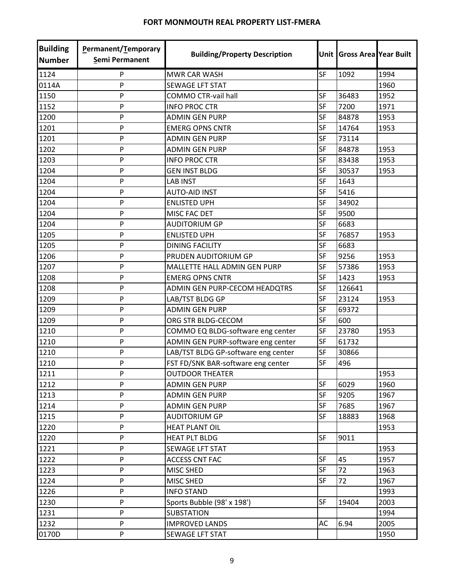| <b>Building</b><br><b>Number</b> | <b>Permanent/Temporary</b><br>Semi Permanent | <b>Building/Property Description</b> |           | Unit Gross Area Year Built |      |
|----------------------------------|----------------------------------------------|--------------------------------------|-----------|----------------------------|------|
| 1124                             | P                                            | <b>MWR CAR WASH</b>                  | SF        | 1092                       | 1994 |
| 0114A                            | P                                            | <b>SEWAGE LFT STAT</b>               |           |                            | 1960 |
| 1150                             | P                                            | <b>COMMO CTR-vail hall</b>           | <b>SF</b> | 36483                      | 1952 |
| 1152                             | P                                            | <b>INFO PROC CTR</b>                 | <b>SF</b> | 7200                       | 1971 |
| 1200                             | P                                            | <b>ADMIN GEN PURP</b>                | SF        | 84878                      | 1953 |
| 1201                             | P                                            | <b>EMERG OPNS CNTR</b>               | <b>SF</b> | 14764                      | 1953 |
| 1201                             | P                                            | <b>ADMIN GEN PURP</b>                | SF        | 73114                      |      |
| 1202                             | P                                            | <b>ADMIN GEN PURP</b>                | <b>SF</b> | 84878                      | 1953 |
| 1203                             | P                                            | <b>INFO PROC CTR</b>                 | <b>SF</b> | 83438                      | 1953 |
| 1204                             | P                                            | <b>GEN INST BLDG</b>                 | <b>SF</b> | 30537                      | 1953 |
| 1204                             | P                                            | <b>LAB INST</b>                      | <b>SF</b> | 1643                       |      |
| 1204                             | P                                            | <b>AUTO-AID INST</b>                 | <b>SF</b> | 5416                       |      |
| 1204                             | P                                            | <b>ENLISTED UPH</b>                  | SF        | 34902                      |      |
| 1204                             | P                                            | MISC FAC DET                         | SF        | 9500                       |      |
| 1204                             | P                                            | <b>AUDITORIUM GP</b>                 | <b>SF</b> | 6683                       |      |
| 1205                             | P                                            | <b>ENLISTED UPH</b>                  | SF        | 76857                      | 1953 |
| 1205                             | P                                            | <b>DINING FACILITY</b>               | <b>SF</b> | 6683                       |      |
| 1206                             | P                                            | PRUDEN AUDITORIUM GP                 | <b>SF</b> | 9256                       | 1953 |
| 1207                             | P                                            | MALLETTE HALL ADMIN GEN PURP         | SF        | 57386                      | 1953 |
| 1208                             | P                                            | <b>EMERG OPNS CNTR</b>               | <b>SF</b> | 1423                       | 1953 |
| 1208                             | P                                            | ADMIN GEN PURP-CECOM HEADQTRS        | SF        | 126641                     |      |
| 1209                             | P                                            | LAB/TST BLDG GP                      | <b>SF</b> | 23124                      | 1953 |
| 1209                             | P                                            | <b>ADMIN GEN PURP</b>                | <b>SF</b> | 69372                      |      |
| 1209                             | P                                            | ORG STR BLDG-CECOM                   | SF        | 600                        |      |
| 1210                             | P                                            | COMMO EQ BLDG-software eng center    | <b>SF</b> | 23780                      | 1953 |
| 1210                             | P                                            | ADMIN GEN PURP-software eng center   | <b>SF</b> | 61732                      |      |
| 1210                             | P                                            | LAB/TST BLDG GP-software eng center  | <b>SF</b> | 30866                      |      |
| 1210                             | P                                            | FST FD/SNK BAR-software eng center   | <b>SF</b> | 496                        |      |
| 1211                             | P                                            | <b>OUTDOOR THEATER</b>               |           |                            | 1953 |
| 1212                             | P                                            | <b>ADMIN GEN PURP</b>                | SF        | 6029                       | 1960 |
| 1213                             | P                                            | <b>ADMIN GEN PURP</b>                | <b>SF</b> | 9205                       | 1967 |
| 1214                             | P                                            | <b>ADMIN GEN PURP</b>                | <b>SF</b> | 7685                       | 1967 |
| 1215                             | P                                            | <b>AUDITORIUM GP</b>                 | SF        | 18883                      | 1968 |
| 1220                             | P                                            | <b>HEAT PLANT OIL</b>                |           |                            | 1953 |
| 1220                             | P                                            | <b>HEAT PLT BLDG</b>                 | SF        | 9011                       |      |
| 1221                             | P                                            | SEWAGE LFT STAT                      |           |                            | 1953 |
| 1222                             | P                                            | <b>ACCESS CNT FAC</b>                | SF        | 45                         | 1957 |
| 1223                             | P                                            | MISC SHED                            | <b>SF</b> | 72                         | 1963 |
| 1224                             | P                                            | MISC SHED                            | <b>SF</b> | 72                         | 1967 |
| 1226                             | P                                            | <b>INFO STAND</b>                    |           |                            | 1993 |
| 1230                             | P                                            | Sports Bubble (98' x 198')           | <b>SF</b> | 19404                      | 2003 |
| 1231                             | P                                            | <b>SUBSTATION</b>                    |           |                            | 1994 |
| 1232                             | P                                            | <b>IMPROVED LANDS</b>                | AC        | 6.94                       | 2005 |
| 0170D                            | P                                            | SEWAGE LFT STAT                      |           |                            | 1950 |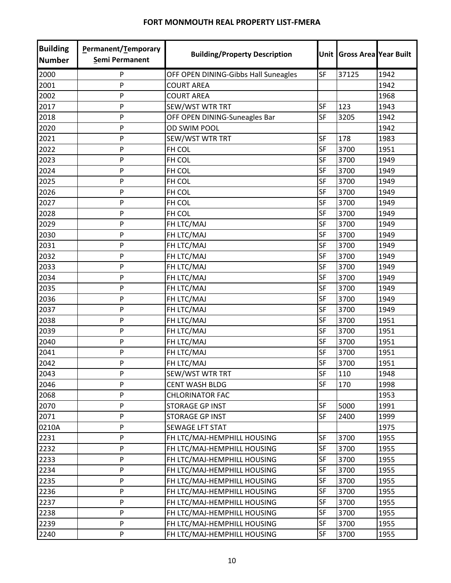| <b>Building</b><br><b>Number</b> | Permanent/Temporary<br>Semi Permanent | <b>Building/Property Description</b> |           | Unit Gross Area Year Built |      |
|----------------------------------|---------------------------------------|--------------------------------------|-----------|----------------------------|------|
| 2000                             | P                                     | OFF OPEN DINING-Gibbs Hall Suneagles | SF        | 37125                      | 1942 |
| 2001                             | $\mathsf{P}$                          | <b>COURT AREA</b>                    |           |                            | 1942 |
| 2002                             | P                                     | <b>COURT AREA</b>                    |           |                            | 1968 |
| 2017                             | ${\sf P}$                             | SEW/WST WTR TRT                      | SF        | 123                        | 1943 |
| 2018                             | $\mathsf{P}$                          | OFF OPEN DINING-Suneagles Bar        | SF        | 3205                       | 1942 |
| 2020                             | P                                     | <b>OD SWIM POOL</b>                  |           |                            | 1942 |
| 2021                             | P                                     | SEW/WST WTR TRT                      | SF        | 178                        | 1983 |
| 2022                             | P                                     | FH COL                               | SF        | 3700                       | 1951 |
| 2023                             | P                                     | FH COL                               | SF        | 3700                       | 1949 |
| 2024                             | P                                     | FH COL                               | SF        | 3700                       | 1949 |
| 2025                             | $\mathsf{P}$                          | FH COL                               | SF        | 3700                       | 1949 |
| 2026                             | P                                     | FH COL                               | SF        | 3700                       | 1949 |
| 2027                             | P                                     | FH COL                               | SF        | 3700                       | 1949 |
| 2028                             | P                                     | FH COL                               | SF        | 3700                       | 1949 |
| 2029                             | P                                     | FH LTC/MAJ                           | SF        | 3700                       | 1949 |
| 2030                             | $\mathsf{P}$                          | FH LTC/MAJ                           | SF        | 3700                       | 1949 |
| 2031                             | P                                     | FH LTC/MAJ                           | SF        | 3700                       | 1949 |
| 2032                             | P                                     | FH LTC/MAJ                           | SF        | 3700                       | 1949 |
| 2033                             | $\mathsf{P}$                          | FH LTC/MAJ                           | <b>SF</b> | 3700                       | 1949 |
| 2034                             | P                                     | FH LTC/MAJ                           | SF        | 3700                       | 1949 |
| 2035                             | P                                     | FH LTC/MAJ                           | SF        | 3700                       | 1949 |
| 2036                             | P                                     | FH LTC/MAJ                           | SF        | 3700                       | 1949 |
| 2037                             | $\mathsf{P}$                          | FH LTC/MAJ                           | SF        | 3700                       | 1949 |
| 2038                             | $\mathsf{P}$                          | FH LTC/MAJ                           | SF        | 3700                       | 1951 |
| 2039                             | P                                     | FH LTC/MAJ                           | SF        | 3700                       | 1951 |
| 2040                             | P                                     | FH LTC/MAJ                           | <b>SF</b> | 3700                       | 1951 |
| 2041                             | P                                     | FH LTC/MAJ                           | SF        | 3700                       | 1951 |
| 2042                             | P                                     | FH LTC/MAJ                           | <b>SF</b> | 3700                       | 1951 |
| 2043                             | P                                     | <b>SEW/WST WTR TRT</b>               | <b>SF</b> | 110                        | 1948 |
| 2046                             | P                                     | <b>CENT WASH BLDG</b>                | SF        | 170                        | 1998 |
| 2068                             | P                                     | <b>CHLORINATOR FAC</b>               |           |                            | 1953 |
| 2070                             | P                                     | <b>STORAGE GP INST</b>               | SF        | 5000                       | 1991 |
| 2071                             | ${\sf P}$                             | <b>STORAGE GP INST</b>               | SF        | 2400                       | 1999 |
| 0210A                            | P                                     | SEWAGE LFT STAT                      |           |                            | 1975 |
| 2231                             | P                                     | FH LTC/MAJ-HEMPHILL HOUSING          | SF        | 3700                       | 1955 |
| 2232                             | P                                     | FH LTC/MAJ-HEMPHILL HOUSING          | SF        | 3700                       | 1955 |
| 2233                             | P                                     | FH LTC/MAJ-HEMPHILL HOUSING          | SF        | 3700                       | 1955 |
| 2234                             | $\mathsf{P}$                          | FH LTC/MAJ-HEMPHILL HOUSING          | SF        | 3700                       | 1955 |
| 2235                             | P                                     | FH LTC/MAJ-HEMPHILL HOUSING          | <b>SF</b> | 3700                       | 1955 |
| 2236                             | P                                     | FH LTC/MAJ-HEMPHILL HOUSING          | SF        | 3700                       | 1955 |
| 2237                             | P                                     | FH LTC/MAJ-HEMPHILL HOUSING          | <b>SF</b> | 3700                       | 1955 |
| 2238                             | P                                     | FH LTC/MAJ-HEMPHILL HOUSING          | SF        | 3700                       | 1955 |
| 2239                             | P                                     | FH LTC/MAJ-HEMPHILL HOUSING          | SF        | 3700                       | 1955 |
| 2240                             | P                                     | FH LTC/MAJ-HEMPHILL HOUSING          | SF        | 3700                       | 1955 |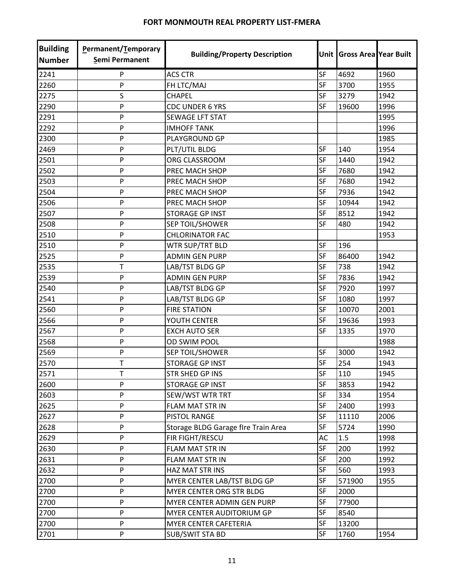| <b>Building</b><br><b>Number</b> | Permanent/Temporary<br><b>Semi Permanent</b> | <b>Building/Property Description</b> |           | Unit Gross Area Year Built |      |
|----------------------------------|----------------------------------------------|--------------------------------------|-----------|----------------------------|------|
| 2241                             | P                                            | <b>ACS CTR</b>                       | SF        | 4692                       | 1960 |
| 2260                             | P                                            | FH LTC/MAJ                           | SF        | 3700                       | 1955 |
| 2275                             | S                                            | <b>CHAPEL</b>                        | <b>SF</b> | 3279                       | 1942 |
| 2290                             | P                                            | <b>CDC UNDER 6 YRS</b>               | SF        | 19600                      | 1996 |
| 2291                             | P                                            | SEWAGE LFT STAT                      |           |                            | 1995 |
| 2292                             | P                                            | <b>IMHOFF TANK</b>                   |           |                            | 1996 |
| 2300                             | P                                            | PLAYGROUND GP                        |           |                            | 1985 |
| 2469                             | P                                            | PLT/UTIL BLDG                        | <b>SF</b> | 140                        | 1954 |
| 2501                             | P                                            | ORG CLASSROOM                        | SF        | 1440                       | 1942 |
| 2502                             | P                                            | PREC MACH SHOP                       | <b>SF</b> | 7680                       | 1942 |
| 2503                             | P                                            | PREC MACH SHOP                       | SF        | 7680                       | 1942 |
| 2504                             | P                                            | PREC MACH SHOP                       | SF        | 7936                       | 1942 |
| 2506                             | P                                            | PREC MACH SHOP                       | SF        | 10944                      | 1942 |
| 2507                             | P                                            | <b>STORAGE GP INST</b>               | SF        | 8512                       | 1942 |
| 2508                             | P                                            | <b>SEP TOIL/SHOWER</b>               | <b>SF</b> | 480                        | 1942 |
| 2510                             | P                                            | <b>CHLORINATOR FAC</b>               |           |                            | 1953 |
| 2510                             | P                                            | WTR SUP/TRT BLD                      | SF        | 196                        |      |
| 2525                             | P                                            | <b>ADMIN GEN PURP</b>                | <b>SF</b> | 86400                      | 1942 |
| 2535                             | Т                                            | LAB/TST BLDG GP                      | SF        | 738                        | 1942 |
| 2539                             | P                                            | <b>ADMIN GEN PURP</b>                | SF        | 7836                       | 1942 |
| 2540                             | P                                            | LAB/TST BLDG GP                      | SF        | 7920                       | 1997 |
| 2541                             | P                                            | LAB/TST BLDG GP                      | <b>SF</b> | 1080                       | 1997 |
| 2560                             | P                                            | <b>FIRE STATION</b>                  | SF        | 10070                      | 2001 |
| 2566                             | P                                            | YOUTH CENTER                         | <b>SF</b> | 19636                      | 1993 |
| 2567                             | P                                            | <b>EXCH AUTO SER</b>                 | <b>SF</b> | 1335                       | 1970 |
| 2568                             | P                                            | <b>OD SWIM POOL</b>                  |           |                            | 1988 |
| 2569                             | P                                            | SEP TOIL/SHOWER                      | SF        | 3000                       | 1942 |
| 2570                             | T                                            | <b>STORAGE GP INST</b>               | SF        | 254                        | 1943 |
| 2571                             | т                                            | STR SHED GP INS                      | <b>SF</b> | 110                        | 1945 |
| 2600                             | P                                            | STORAGE GP INST                      | SF        | 3853                       | 1942 |
| 2603                             | P                                            | SEW/WST WTR TRT                      | SF        | 334                        | 1954 |
| 2625                             | P                                            | FLAM MAT STR IN                      | <b>SF</b> | 2400                       | 1993 |
| 2627                             | P                                            | PISTOL RANGE                         | SF        | 11110                      | 2006 |
| 2628                             | P                                            | Storage BLDG Garage flre Train Area  | <b>SF</b> | 5724                       | 1990 |
| 2629                             | P                                            | FIR FIGHT/RESCU                      | AC        | 1.5                        | 1998 |
| 2630                             | P                                            | <b>FLAM MAT STR IN</b>               | SF        | 200                        | 1992 |
| 2631                             | P                                            | FLAM MAT STR IN                      | SF        | 200                        | 1992 |
| 2632                             | P                                            | HAZ MAT STR INS                      | SF        | 560                        | 1993 |
| 2700                             | P                                            | MYER CENTER LAB/TST BLDG GP          | SF        | 571900                     | 1955 |
| 2700                             | P                                            | MYER CENTER ORG STR BLDG             | SF        | 2000                       |      |
| 2700                             | P                                            | MYER CENTER ADMIN GEN PURP           | SF        | 77900                      |      |
| 2700                             | P                                            | MYER CENTER AUDITORIUM GP            | SF        | 8540                       |      |
| 2700                             | P                                            | MYER CENTER CAFETERIA                | SF        | 13200                      |      |
| 2701                             | P                                            | <b>SUB/SWIT STA BD</b>               | SF        | 1760                       | 1954 |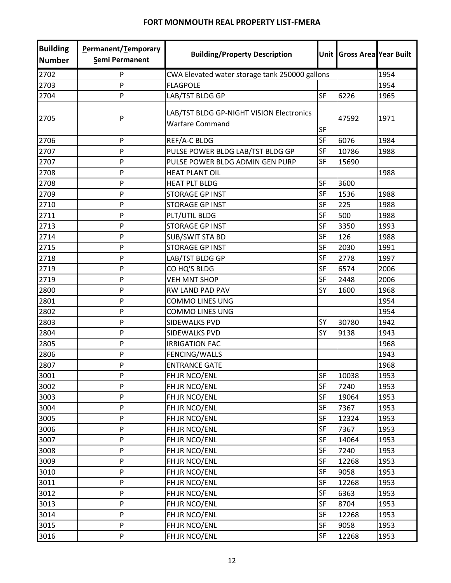| <b>Building</b><br><b>Number</b> | Permanent/Temporary<br>Semi Permanent | <b>Building/Property Description</b>                               |           | Unit Gross Area Year Built |      |
|----------------------------------|---------------------------------------|--------------------------------------------------------------------|-----------|----------------------------|------|
| 2702                             | P                                     | CWA Elevated water storage tank 250000 gallons                     |           |                            | 1954 |
| 2703                             | P                                     | <b>FLAGPOLE</b>                                                    |           |                            | 1954 |
| 2704                             | P                                     | LAB/TST BLDG GP                                                    | <b>SF</b> | 6226                       | 1965 |
| 2705                             | P                                     | LAB/TST BLDG GP-NIGHT VISION Electronics<br><b>Warfare Command</b> | <b>SF</b> | 47592                      | 1971 |
| 2706                             | P                                     | REF/A-C BLDG                                                       | <b>SF</b> | 6076                       | 1984 |
| 2707                             | P                                     | PULSE POWER BLDG LAB/TST BLDG GP                                   | SF        | 10786                      | 1988 |
| 2707                             | $\mathsf{P}$                          | PULSE POWER BLDG ADMIN GEN PURP                                    | <b>SF</b> | 15690                      |      |
| 2708                             | P                                     | <b>HEAT PLANT OIL</b>                                              |           |                            | 1988 |
| 2708                             | P                                     | <b>HEAT PLT BLDG</b>                                               | SF        | 3600                       |      |
| 2709                             | P                                     | <b>STORAGE GP INST</b>                                             | <b>SF</b> | 1536                       | 1988 |
| 2710                             | P                                     | <b>STORAGE GP INST</b>                                             | <b>SF</b> | 225                        | 1988 |
| 2711                             | P                                     | PLT/UTIL BLDG                                                      | <b>SF</b> | 500                        | 1988 |
| 2713                             | $\mathsf{P}$                          | <b>STORAGE GP INST</b>                                             | <b>SF</b> | 3350                       | 1993 |
| 2714                             | P                                     | <b>SUB/SWIT STA BD</b>                                             | <b>SF</b> | 126                        | 1988 |
| 2715                             | P                                     | <b>STORAGE GP INST</b>                                             | <b>SF</b> | 2030                       | 1991 |
| 2718                             | P                                     | LAB/TST BLDG GP                                                    | SF        | 2778                       | 1997 |
| 2719                             | P                                     | CO HQ'S BLDG                                                       | <b>SF</b> | 6574                       | 2006 |
| 2719                             | P                                     | <b>VEH MNT SHOP</b>                                                | SF        | 2448                       | 2006 |
| 2800                             | P                                     | RW LAND PAD PAV                                                    | SY        | 1600                       | 1968 |
| 2801                             | P                                     | <b>COMMO LINES UNG</b>                                             |           |                            | 1954 |
| 2802                             | P                                     | <b>COMMO LINES UNG</b>                                             |           |                            | 1954 |
| 2803                             | P                                     | SIDEWALKS PVD                                                      | SY        | 30780                      | 1942 |
| 2804                             | P                                     | <b>SIDEWALKS PVD</b>                                               | SY        | 9138                       | 1943 |
| 2805                             | P                                     | <b>IRRIGATION FAC</b>                                              |           |                            | 1968 |
| 2806                             | P                                     | FENCING/WALLS                                                      |           |                            | 1943 |
| 2807                             | P                                     | <b>ENTRANCE GATE</b>                                               |           |                            | 1968 |
| 3001                             | P                                     | FH JR NCO/ENL                                                      | SF        | 10038                      | 1953 |
| 3002                             | P                                     | FH JR NCO/ENL                                                      | SF        | 7240                       | 1953 |
| 3003                             | P                                     | FH JR NCO/ENL                                                      | SF        | 19064                      | 1953 |
| 3004                             | P                                     | FH JR NCO/ENL                                                      | SF        | 7367                       | 1953 |
| 3005                             | P                                     | FH JR NCO/ENL                                                      | SF        | 12324                      | 1953 |
| 3006                             | P                                     | FH JR NCO/ENL                                                      | SF        | 7367                       | 1953 |
| 3007                             | P                                     | FH JR NCO/ENL                                                      | SF        | 14064                      | 1953 |
| 3008                             | P                                     | FH JR NCO/ENL                                                      | SF        | 7240                       | 1953 |
| 3009                             | P                                     | FH JR NCO/ENL                                                      | SF        | 12268                      | 1953 |
| 3010                             | P                                     | FH JR NCO/ENL                                                      | SF        | 9058                       | 1953 |
| 3011                             | P                                     | FH JR NCO/ENL                                                      | SF        | 12268                      | 1953 |
| 3012                             | P                                     | FH JR NCO/ENL                                                      | SF        | 6363                       | 1953 |
| 3013                             | P                                     | FH JR NCO/ENL                                                      | <b>SF</b> | 8704                       | 1953 |
| 3014                             | P                                     | FH JR NCO/ENL                                                      | SF        | 12268                      | 1953 |
| 3015                             | P                                     | FH JR NCO/ENL                                                      | SF        | 9058                       | 1953 |
| 3016                             | P                                     | FH JR NCO/ENL                                                      | SF        | 12268                      | 1953 |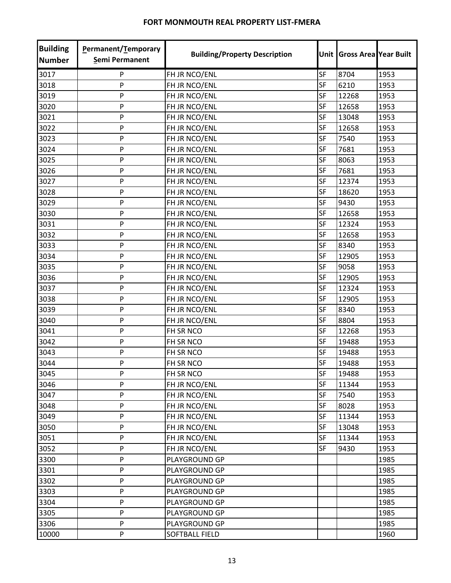| <b>Building</b><br><b>Number</b> | Permanent/Temporary<br><b>Semi Permanent</b> | <b>Building/Property Description</b> |           | Unit Gross Area Year Built |      |
|----------------------------------|----------------------------------------------|--------------------------------------|-----------|----------------------------|------|
| 3017                             | P                                            | FH JR NCO/ENL                        | SF        | 8704                       | 1953 |
| 3018                             | P                                            | FH JR NCO/ENL                        | SF        | 6210                       | 1953 |
| 3019                             | P                                            | FH JR NCO/ENL                        | <b>SF</b> | 12268                      | 1953 |
| 3020                             | P                                            | FH JR NCO/ENL                        | SF        | 12658                      | 1953 |
| 3021                             | P                                            | FH JR NCO/ENL                        | <b>SF</b> | 13048                      | 1953 |
| 3022                             | P                                            | FH JR NCO/ENL                        | SF        | 12658                      | 1953 |
| 3023                             | P                                            | FH JR NCO/ENL                        | <b>SF</b> | 7540                       | 1953 |
| 3024                             | P                                            | FH JR NCO/ENL                        | SF        | 7681                       | 1953 |
| 3025                             | P                                            | FH JR NCO/ENL                        | <b>SF</b> | 8063                       | 1953 |
| 3026                             | P                                            | FH JR NCO/ENL                        | <b>SF</b> | 7681                       | 1953 |
| 3027                             | P                                            | FH JR NCO/ENL                        | <b>SF</b> | 12374                      | 1953 |
| 3028                             | P                                            | FH JR NCO/ENL                        | <b>SF</b> | 18620                      | 1953 |
| 3029                             | P                                            | FH JR NCO/ENL                        | <b>SF</b> | 9430                       | 1953 |
| 3030                             | P                                            | FH JR NCO/ENL                        | SF        | 12658                      | 1953 |
| 3031                             | P                                            | FH JR NCO/ENL                        | SF        | 12324                      | 1953 |
| 3032                             | P                                            | FH JR NCO/ENL                        | SF        | 12658                      | 1953 |
| 3033                             | P                                            | FH JR NCO/ENL                        | <b>SF</b> | 8340                       | 1953 |
| 3034                             | P                                            | FH JR NCO/ENL                        | SF        | 12905                      | 1953 |
| 3035                             | P                                            | FH JR NCO/ENL                        | SF        | 9058                       | 1953 |
| 3036                             | P                                            | FH JR NCO/ENL                        | SF        | 12905                      | 1953 |
| 3037                             | P                                            | FH JR NCO/ENL                        | SF        | 12324                      | 1953 |
| 3038                             | P                                            | FH JR NCO/ENL                        | <b>SF</b> | 12905                      | 1953 |
| 3039                             | P                                            | FH JR NCO/ENL                        | SF        | 8340                       | 1953 |
| 3040                             | P                                            | FH JR NCO/ENL                        | <b>SF</b> | 8804                       | 1953 |
| 3041                             | P                                            | FH SR NCO                            | SF        | 12268                      | 1953 |
| 3042                             | P                                            | FH SR NCO                            | <b>SF</b> | 19488                      | 1953 |
| 3043                             | P                                            | FH SR NCO                            | SF        | 19488                      | 1953 |
| 3044                             | P                                            | FH SR NCO                            | <b>SF</b> | 19488                      | 1953 |
| 3045                             | P                                            | FH SR NCO                            | SF        | 19488                      | 1953 |
| 3046                             | P                                            | FH JR NCO/ENL                        | SF        | 11344                      | 1953 |
| 3047                             | P                                            | FH JR NCO/ENL                        | SF        | 7540                       | 1953 |
| 3048                             | P                                            | FH JR NCO/ENL                        | SF        | 8028                       | 1953 |
| 3049                             | P                                            | FH JR NCO/ENL                        | <b>SF</b> | 11344                      | 1953 |
| 3050                             | P                                            | FH JR NCO/ENL                        | SF        | 13048                      | 1953 |
| 3051                             | P                                            | FH JR NCO/ENL                        | SF        | 11344                      | 1953 |
| 3052                             | P                                            | FH JR NCO/ENL                        | <b>SF</b> | 9430                       | 1953 |
| 3300                             | P                                            | PLAYGROUND GP                        |           |                            | 1985 |
| 3301                             | P                                            | PLAYGROUND GP                        |           |                            | 1985 |
| 3302                             | P                                            | PLAYGROUND GP                        |           |                            | 1985 |
| 3303                             | P                                            | PLAYGROUND GP                        |           |                            | 1985 |
| 3304                             | P                                            | PLAYGROUND GP                        |           |                            | 1985 |
| 3305                             | P                                            | PLAYGROUND GP                        |           |                            | 1985 |
| 3306                             | P                                            | PLAYGROUND GP                        |           |                            | 1985 |
| 10000                            | P                                            | SOFTBALL FIELD                       |           |                            | 1960 |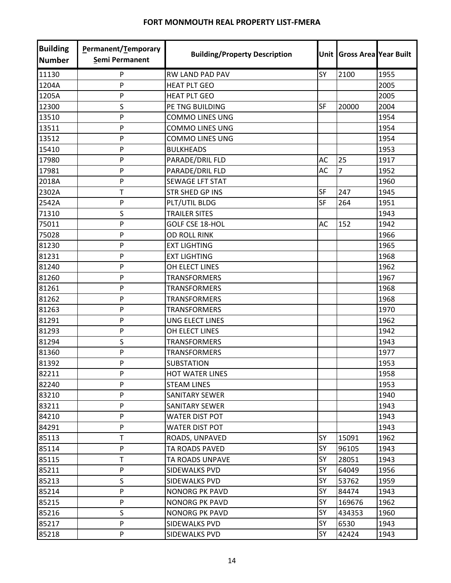| <b>Building</b><br><b>Number</b> | Permanent/Temporary<br>Semi Permanent | <b>Building/Property Description</b> |           | Unit Gross Area Year Built |      |
|----------------------------------|---------------------------------------|--------------------------------------|-----------|----------------------------|------|
| 11130                            | P                                     | RW LAND PAD PAV                      | SY        | 2100                       | 1955 |
| 1204A                            | P                                     | <b>HEAT PLT GEO</b>                  |           |                            | 2005 |
| 1205A                            | P                                     | <b>HEAT PLT GEO</b>                  |           |                            | 2005 |
| 12300                            | S                                     | PE TNG BUILDING                      | SF        | 20000                      | 2004 |
| 13510                            | P                                     | <b>COMMO LINES UNG</b>               |           |                            | 1954 |
| 13511                            | P                                     | <b>COMMO LINES UNG</b>               |           |                            | 1954 |
| 13512                            | P                                     | <b>COMMO LINES UNG</b>               |           |                            | 1954 |
| 15410                            | P                                     | <b>BULKHEADS</b>                     |           |                            | 1953 |
| 17980                            | P                                     | PARADE/DRIL FLD                      | AC        | 25                         | 1917 |
| 17981                            | P                                     | PARADE/DRIL FLD                      | AC        | $\overline{7}$             | 1952 |
| 2018A                            | P                                     | <b>SEWAGE LFT STAT</b>               |           |                            | 1960 |
| 2302A                            | T                                     | <b>STR SHED GP INS</b>               | SF        | 247                        | 1945 |
| 2542A                            | P                                     | PLT/UTIL BLDG                        | <b>SF</b> | 264                        | 1951 |
| 71310                            | S                                     | <b>TRAILER SITES</b>                 |           |                            | 1943 |
| 75011                            | P                                     | <b>GOLF CSE 18-HOL</b>               | AC        | 152                        | 1942 |
| 75028                            | P                                     | <b>OD ROLL RINK</b>                  |           |                            | 1966 |
| 81230                            | P                                     | <b>EXT LIGHTING</b>                  |           |                            | 1965 |
| 81231                            | P                                     | <b>EXT LIGHTING</b>                  |           |                            | 1968 |
| 81240                            | P                                     | OH ELECT LINES                       |           |                            | 1962 |
| 81260                            | P                                     | <b>TRANSFORMERS</b>                  |           |                            | 1967 |
| 81261                            | P                                     | <b>TRANSFORMERS</b>                  |           |                            | 1968 |
| 81262                            | P                                     | <b>TRANSFORMERS</b>                  |           |                            | 1968 |
| 81263                            | P                                     | <b>TRANSFORMERS</b>                  |           |                            | 1970 |
| 81291                            | P                                     | <b>UNG ELECT LINES</b>               |           |                            | 1962 |
| 81293                            | P                                     | OH ELECT LINES                       |           |                            | 1942 |
| 81294                            | S                                     | <b>TRANSFORMERS</b>                  |           |                            | 1943 |
| 81360                            | P                                     | <b>TRANSFORMERS</b>                  |           |                            | 1977 |
| 81392                            | P                                     | <b>SUBSTATION</b>                    |           |                            | 1953 |
| 82211                            | P                                     | <b>HOT WATER LINES</b>               |           |                            | 1958 |
| 82240                            | P                                     | <b>STEAM LINES</b>                   |           |                            | 1953 |
| 83210                            | P                                     | <b>SANITARY SEWER</b>                |           |                            | 1940 |
| 83211                            | P                                     | SANITARY SEWER                       |           |                            | 1943 |
| 84210                            | P                                     | <b>WATER DIST POT</b>                |           |                            | 1943 |
| 84291                            | P                                     | <b>WATER DIST POT</b>                |           |                            | 1943 |
| 85113                            | T                                     | ROADS, UNPAVED                       | SY        | 15091                      | 1962 |
| 85114                            | P                                     | TA ROADS PAVED                       | SY        | 96105                      | 1943 |
| 85115                            | T                                     | TA ROADS UNPAVE                      | SY        | 28051                      | 1943 |
| 85211                            | P                                     | SIDEWALKS PVD                        | SY        | 64049                      | 1956 |
| 85213                            | S                                     | SIDEWALKS PVD                        | SY        | 53762                      | 1959 |
| 85214                            | P                                     | <b>NONORG PK PAVD</b>                | <b>SY</b> | 84474                      | 1943 |
| 85215                            | P                                     | <b>NONORG PK PAVD</b>                | SY        | 169676                     | 1962 |
| 85216                            | S                                     | <b>NONORG PK PAVD</b>                | SY        | 434353                     | 1960 |
| 85217                            | P                                     | SIDEWALKS PVD                        | SY        | 6530                       | 1943 |
| 85218                            | P                                     | SIDEWALKS PVD                        | SY        | 42424                      | 1943 |